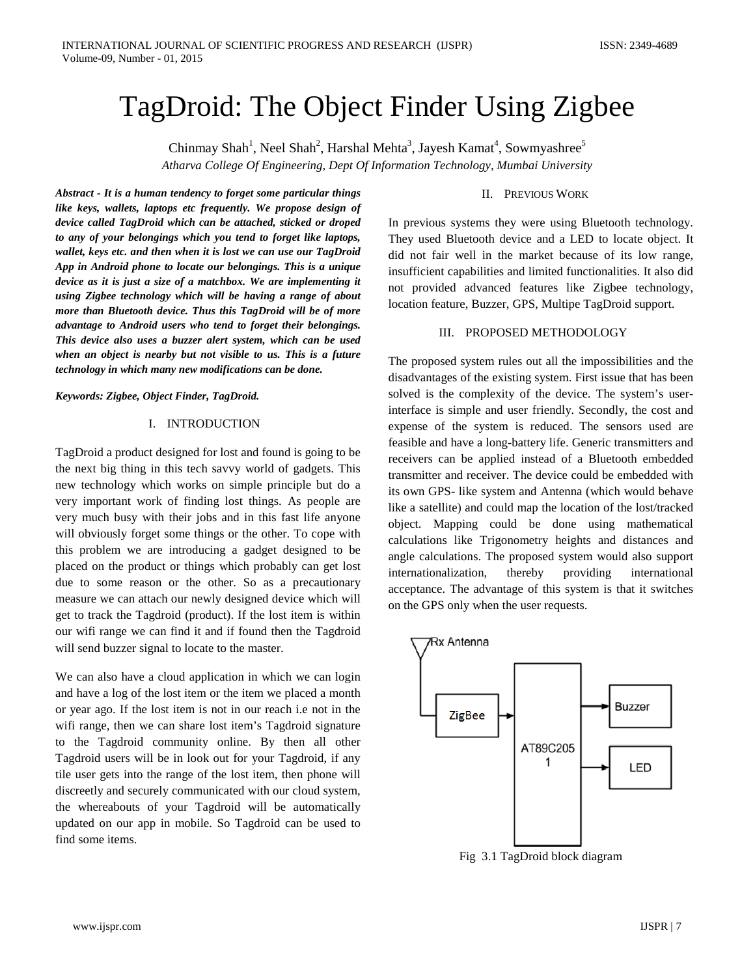# TagDroid: The Object Finder Using Zigbee

Chinmay Shah<sup>1</sup>, Neel Shah<sup>2</sup>, Harshal Mehta<sup>3</sup>, Jayesh Kamat<sup>4</sup>, Sowmyashree<sup>5</sup> *Atharva College Of Engineering, Dept Of Information Technology, Mumbai University*

*Abstract - It is a human tendency to forget some particular things like keys, wallets, laptops etc frequently. We propose design of device called TagDroid which can be attached, sticked or droped to any of your belongings which you tend to forget like laptops, wallet, keys etc. and then when it is lost we can use our TagDroid App in Android phone to locate our belongings. This is a unique device as it is just a size of a matchbox. We are implementing it using Zigbee technology which will be having a range of about more than Bluetooth device. Thus this TagDroid will be of more advantage to Android users who tend to forget their belongings. This device also uses a buzzer alert system, which can be used when an object is nearby but not visible to us. This is a future technology in which many new modifications can be done.*

*Keywords: Zigbee, Object Finder, TagDroid.*

## I. INTRODUCTION

TagDroid a product designed for lost and found is going to be the next big thing in this tech savvy world of gadgets. This new technology which works on simple principle but do a very important work of finding lost things. As people are very much busy with their jobs and in this fast life anyone will obviously forget some things or the other. To cope with this problem we are introducing a gadget designed to be placed on the product or things which probably can get lost due to some reason or the other. So as a precautionary measure we can attach our newly designed device which will get to track the Tagdroid (product). If the lost item is within our wifi range we can find it and if found then the Tagdroid will send buzzer signal to locate to the master.

We can also have a cloud application in which we can login and have a log of the lost item or the item we placed a month or year ago. If the lost item is not in our reach i.e not in the wifi range, then we can share lost item's Tagdroid signature to the Tagdroid community online. By then all other Tagdroid users will be in look out for your Tagdroid, if any tile user gets into the range of the lost item, then phone will discreetly and securely communicated with our cloud system, the whereabouts of your Tagdroid will be automatically updated on our app in mobile. So Tagdroid can be used to find some items.

## II. PREVIOUS WORK

In previous systems they were using Bluetooth technology. They used Bluetooth device and a LED to locate object. It did not fair well in the market because of its low range, insufficient capabilities and limited functionalities. It also did not provided advanced features like Zigbee technology, location feature, Buzzer, GPS, Multipe TagDroid support.

## III. PROPOSED METHODOLOGY

The proposed system rules out all the impossibilities and the disadvantages of the existing system. First issue that has been solved is the complexity of the device. The system's userinterface is simple and user friendly. Secondly, the cost and expense of the system is reduced. The sensors used are feasible and have a long-battery life. Generic transmitters and receivers can be applied instead of a Bluetooth embedded transmitter and receiver. The device could be embedded with its own GPS- like system and Antenna (which would behave like a satellite) and could map the location of the lost/tracked object. Mapping could be done using mathematical calculations like Trigonometry heights and distances and angle calculations. The proposed system would also support internationalization, thereby providing international acceptance. The advantage of this system is that it switches on the GPS only when the user requests.



Fig 3.1 TagDroid block diagram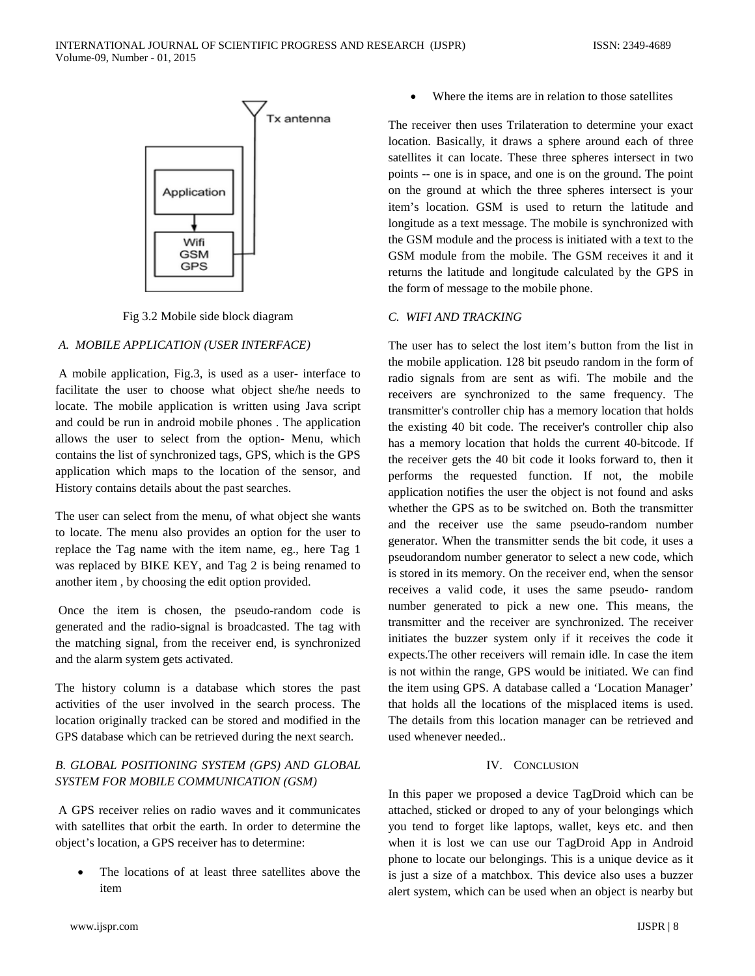

Fig 3.2 Mobile side block diagram

## *A. MOBILE APPLICATION (USER INTERFACE)*

A mobile application, Fig.3, is used as a user- interface to facilitate the user to choose what object she/he needs to locate. The mobile application is written using Java script and could be run in android mobile phones . The application allows the user to select from the option- Menu, which contains the list of synchronized tags, GPS, which is the GPS application which maps to the location of the sensor, and History contains details about the past searches.

The user can select from the menu, of what object she wants to locate. The menu also provides an option for the user to replace the Tag name with the item name, eg., here Tag 1 was replaced by BIKE KEY, and Tag 2 is being renamed to another item , by choosing the edit option provided.

Once the item is chosen, the pseudo-random code is generated and the radio-signal is broadcasted. The tag with the matching signal, from the receiver end, is synchronized and the alarm system gets activated.

The history column is a database which stores the past activities of the user involved in the search process. The location originally tracked can be stored and modified in the GPS database which can be retrieved during the next search.

# *B. GLOBAL POSITIONING SYSTEM (GPS) AND GLOBAL SYSTEM FOR MOBILE COMMUNICATION (GSM)*

A GPS receiver relies on radio waves and it communicates with satellites that orbit the earth. In order to determine the object's location, a GPS receiver has to determine:

The locations of at least three satellites above the item

Where the items are in relation to those satellites

The receiver then uses Trilateration to determine your exact location. Basically, it draws a sphere around each of three satellites it can locate. These three spheres intersect in two points -- one is in space, and one is on the ground. The point on the ground at which the three spheres intersect is your item's location. GSM is used to return the latitude and longitude as a text message. The mobile is synchronized with the GSM module and the process is initiated with a text to the GSM module from the mobile. The GSM receives it and it returns the latitude and longitude calculated by the GPS in the form of message to the mobile phone.

## *C. WIFI AND TRACKING*

The user has to select the lost item's button from the list in the mobile application. 128 bit pseudo random in the form of radio signals from are sent as wifi. The mobile and the receivers are synchronized to the same frequency. The transmitter's controller chip has a memory location that holds the existing 40 bit code. The receiver's controller chip also has a memory location that holds the current 40-bitcode. If the receiver gets the 40 bit code it looks forward to, then it performs the requested function. If not, the mobile application notifies the user the object is not found and asks whether the GPS as to be switched on. Both the transmitter and the receiver use the same pseudo-random number generator. When the transmitter sends the bit code, it uses a pseudorandom number generator to select a new code, which is stored in its memory. On the receiver end, when the sensor receives a valid code, it uses the same pseudo- random number generated to pick a new one. This means, the transmitter and the receiver are synchronized. The receiver initiates the buzzer system only if it receives the code it expects.The other receivers will remain idle. In case the item is not within the range, GPS would be initiated. We can find the item using GPS. A database called a 'Location Manager' that holds all the locations of the misplaced items is used. The details from this location manager can be retrieved and used whenever needed..

### IV. CONCLUSION

In this paper we proposed a device TagDroid which can be attached, sticked or droped to any of your belongings which you tend to forget like laptops, wallet, keys etc. and then when it is lost we can use our TagDroid App in Android phone to locate our belongings. This is a unique device as it is just a size of a matchbox. This device also uses a buzzer alert system, which can be used when an object is nearby but